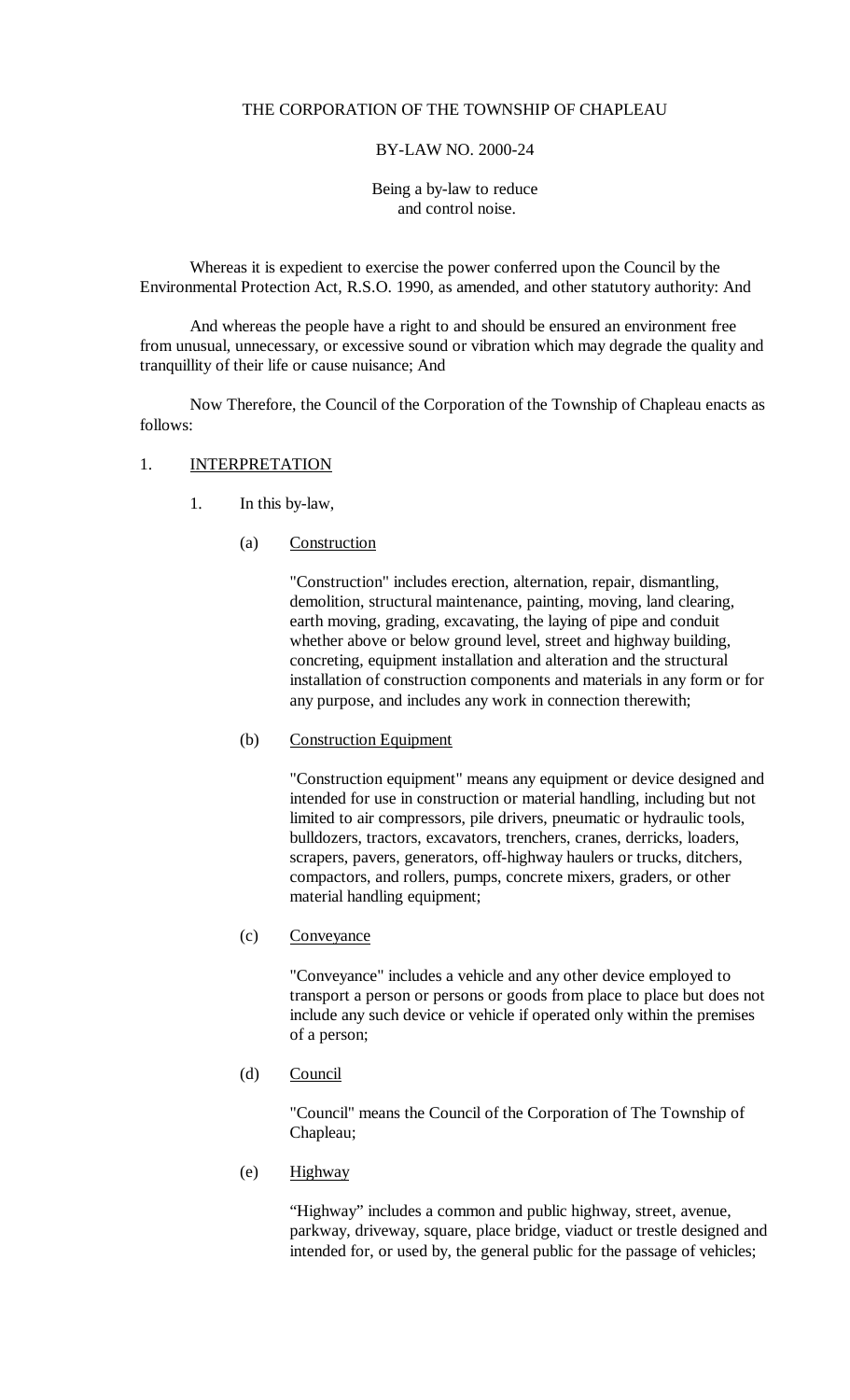#### THE CORPORATION OF THE TOWNSHIP OF CHAPLEAU

#### BY-LAW NO. 2000-24

Being a by-law to reduce and control noise.

Whereas it is expedient to exercise the power conferred upon the Council by the Environmental Protection Act, R.S.O. 1990, as amended, and other statutory authority: And

And whereas the people have a right to and should be ensured an environment free from unusual, unnecessary, or excessive sound or vibration which may degrade the quality and tranquillity of their life or cause nuisance; And

Now Therefore, the Council of the Corporation of the Township of Chapleau enacts as follows:

# 1. **INTERPRETATION**

- 1. In this by-law,
	- (a) Construction

"Construction" includes erection, alternation, repair, dismantling, demolition, structural maintenance, painting, moving, land clearing, earth moving, grading, excavating, the laying of pipe and conduit whether above or below ground level, street and highway building, concreting, equipment installation and alteration and the structural installation of construction components and materials in any form or for any purpose, and includes any work in connection therewith;

(b) Construction Equipment

"Construction equipment" means any equipment or device designed and intended for use in construction or material handling, including but not limited to air compressors, pile drivers, pneumatic or hydraulic tools, bulldozers, tractors, excavators, trenchers, cranes, derricks, loaders, scrapers, pavers, generators, off-highway haulers or trucks, ditchers, compactors, and rollers, pumps, concrete mixers, graders, or other material handling equipment;

(c) Conveyance

"Conveyance" includes a vehicle and any other device employed to transport a person or persons or goods from place to place but does not include any such device or vehicle if operated only within the premises of a person;

(d) Council

"Council" means the Council of the Corporation of The Township of Chapleau;

(e) Highway

"Highway" includes a common and public highway, street, avenue, parkway, driveway, square, place bridge, viaduct or trestle designed and intended for, or used by, the general public for the passage of vehicles;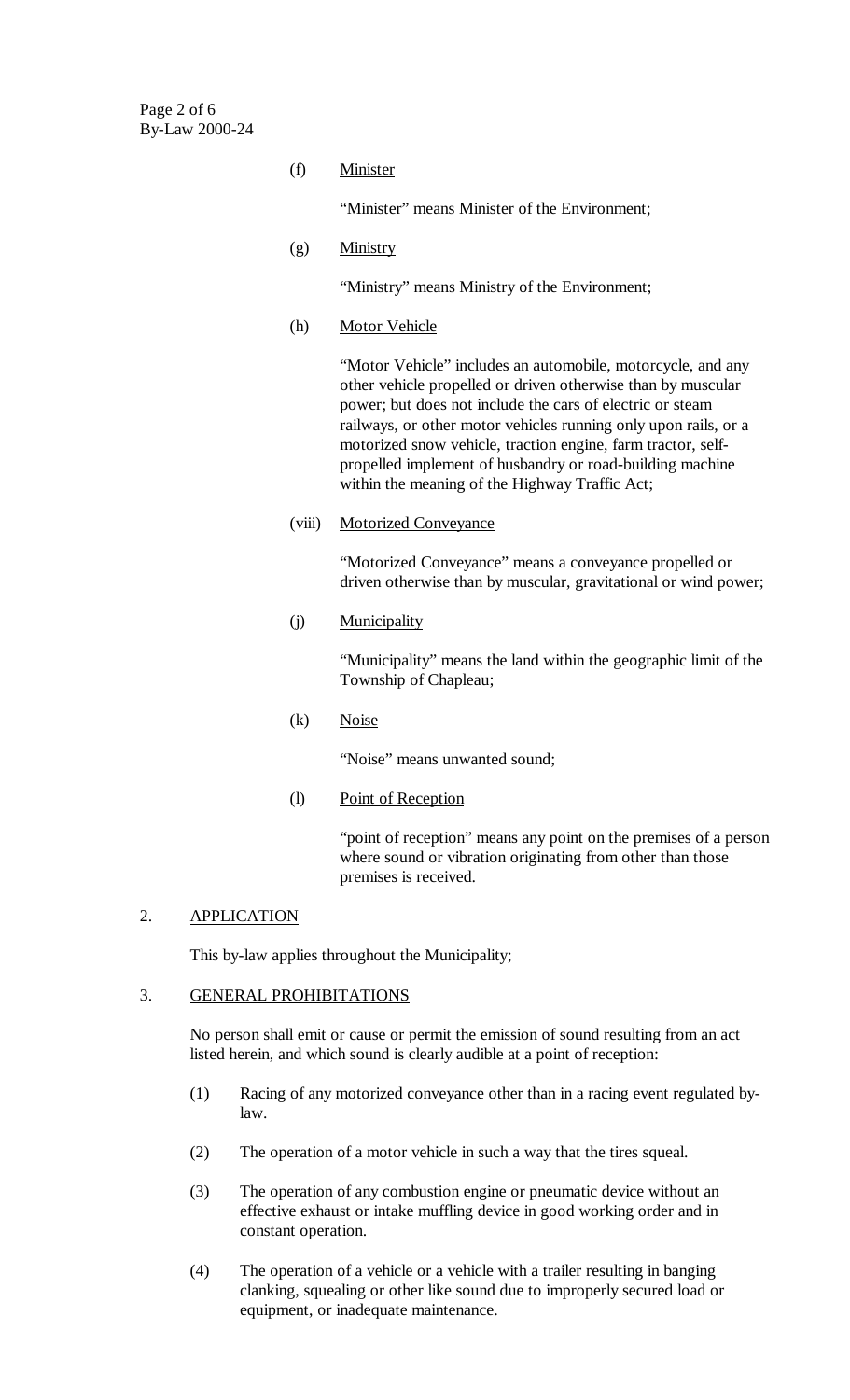Page 2 of 6 By-Law 2000-24

(f) Minister

"Minister" means Minister of the Environment;

(g) Ministry

"Ministry" means Ministry of the Environment;

(h) Motor Vehicle

"Motor Vehicle" includes an automobile, motorcycle, and any other vehicle propelled or driven otherwise than by muscular power; but does not include the cars of electric or steam railways, or other motor vehicles running only upon rails, or a motorized snow vehicle, traction engine, farm tractor, selfpropelled implement of husbandry or road-building machine within the meaning of the Highway Traffic Act;

(viii) Motorized Conveyance

"Motorized Conveyance" means a conveyance propelled or driven otherwise than by muscular, gravitational or wind power;

(j) Municipality

"Municipality" means the land within the geographic limit of the Township of Chapleau;

(k) Noise

"Noise" means unwanted sound;

(l) Point of Reception

"point of reception" means any point on the premises of a person where sound or vibration originating from other than those premises is received.

### 2. APPLICATION

This by-law applies throughout the Municipality;

#### 3. GENERAL PROHIBITATIONS

No person shall emit or cause or permit the emission of sound resulting from an act listed herein, and which sound is clearly audible at a point of reception:

- (1) Racing of any motorized conveyance other than in a racing event regulated bylaw.
- (2) The operation of a motor vehicle in such a way that the tires squeal.
- (3) The operation of any combustion engine or pneumatic device without an effective exhaust or intake muffling device in good working order and in constant operation.
- (4) The operation of a vehicle or a vehicle with a trailer resulting in banging clanking, squealing or other like sound due to improperly secured load or equipment, or inadequate maintenance.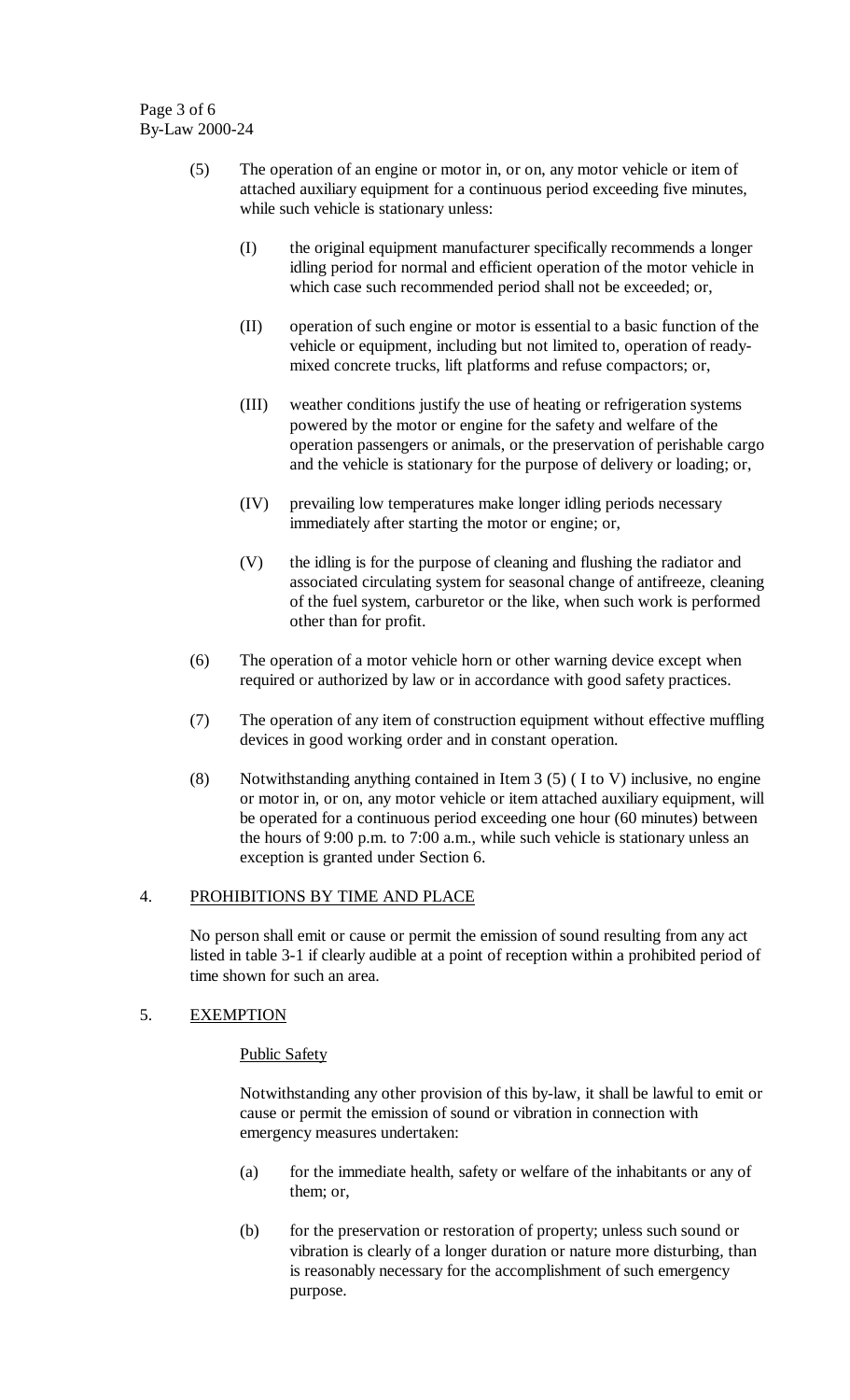Page 3 of 6 By-Law 2000-24

- (5) The operation of an engine or motor in, or on, any motor vehicle or item of attached auxiliary equipment for a continuous period exceeding five minutes, while such vehicle is stationary unless:
	- (I) the original equipment manufacturer specifically recommends a longer idling period for normal and efficient operation of the motor vehicle in which case such recommended period shall not be exceeded; or,
	- (II) operation of such engine or motor is essential to a basic function of the vehicle or equipment, including but not limited to, operation of readymixed concrete trucks, lift platforms and refuse compactors; or,
	- (III) weather conditions justify the use of heating or refrigeration systems powered by the motor or engine for the safety and welfare of the operation passengers or animals, or the preservation of perishable cargo and the vehicle is stationary for the purpose of delivery or loading; or,
	- (IV) prevailing low temperatures make longer idling periods necessary immediately after starting the motor or engine; or,
	- (V) the idling is for the purpose of cleaning and flushing the radiator and associated circulating system for seasonal change of antifreeze, cleaning of the fuel system, carburetor or the like, when such work is performed other than for profit.
- (6) The operation of a motor vehicle horn or other warning device except when required or authorized by law or in accordance with good safety practices.
- (7) The operation of any item of construction equipment without effective muffling devices in good working order and in constant operation.
- (8) Notwithstanding anything contained in Item  $3(5)$  (I to V) inclusive, no engine or motor in, or on, any motor vehicle or item attached auxiliary equipment, will be operated for a continuous period exceeding one hour (60 minutes) between the hours of 9:00 p.m. to 7:00 a.m., while such vehicle is stationary unless an exception is granted under Section 6.

#### 4. PROHIBITIONS BY TIME AND PLACE

No person shall emit or cause or permit the emission of sound resulting from any act listed in table 3-1 if clearly audible at a point of reception within a prohibited period of time shown for such an area.

#### 5. EXEMPTION

#### Public Safety

Notwithstanding any other provision of this by-law, it shall be lawful to emit or cause or permit the emission of sound or vibration in connection with emergency measures undertaken:

- (a) for the immediate health, safety or welfare of the inhabitants or any of them; or,
- (b) for the preservation or restoration of property; unless such sound or vibration is clearly of a longer duration or nature more disturbing, than is reasonably necessary for the accomplishment of such emergency purpose.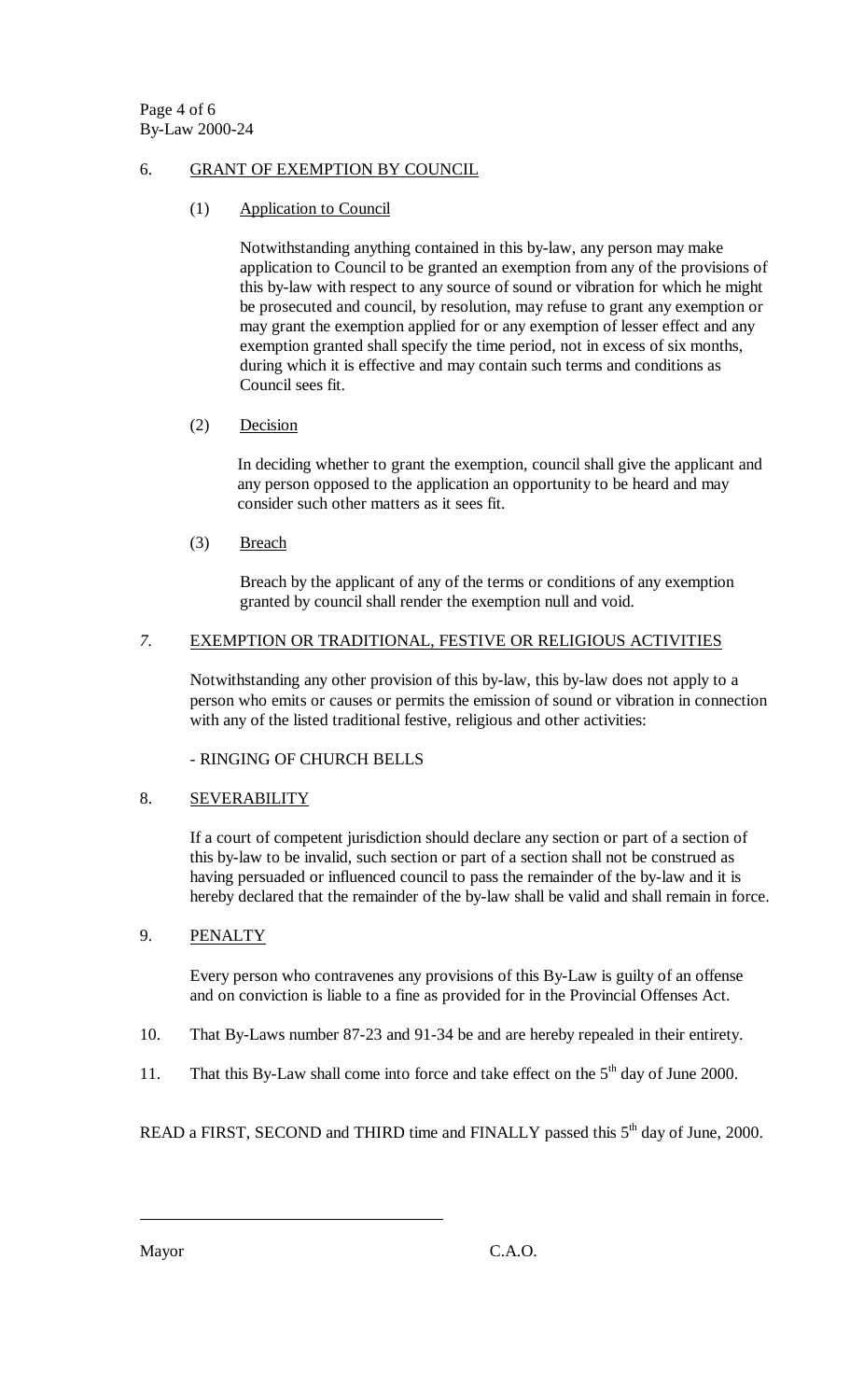#### 6. GRANT OF EXEMPTION BY COUNCIL

(1) Application to Council

Notwithstanding anything contained in this by-law, any person may make application to Council to be granted an exemption from any of the provisions of this by-law with respect to any source of sound or vibration for which he might be prosecuted and council, by resolution, may refuse to grant any exemption or may grant the exemption applied for or any exemption of lesser effect and any exemption granted shall specify the time period, not in excess of six months, during which it is effective and may contain such terms and conditions as Council sees fit.

### (2) Decision

In deciding whether to grant the exemption, council shall give the applicant and any person opposed to the application an opportunity to be heard and may consider such other matters as it sees fit.

(3) Breach

Breach by the applicant of any of the terms or conditions of any exemption granted by council shall render the exemption null and void.

#### *7.* EXEMPTION OR TRADITIONAL, FESTIVE OR RELIGIOUS ACTIVITIES

Notwithstanding any other provision of this by-law, this by-law does not apply to a person who emits or causes or permits the emission of sound or vibration in connection with any of the listed traditional festive, religious and other activities:

- RINGING OF CHURCH BELLS

### 8. SEVERABILITY

If a court of competent jurisdiction should declare any section or part of a section of this by-law to be invalid, such section or part of a section shall not be construed as having persuaded or influenced council to pass the remainder of the by-law and it is hereby declared that the remainder of the by-law shall be valid and shall remain in force.

### 9. PENALTY

Every person who contravenes any provisions of this By-Law is guilty of an offense and on conviction is liable to a fine as provided for in the Provincial Offenses Act.

- 10. That By-Laws number 87-23 and 91-34 be and are hereby repealed in their entirety.
- 11. That this By-Law shall come into force and take effect on the  $5<sup>th</sup>$  day of June 2000.

READ a FIRST, SECOND and THIRD time and FINALLY passed this 5<sup>th</sup> day of June, 2000.

 $\overline{a}$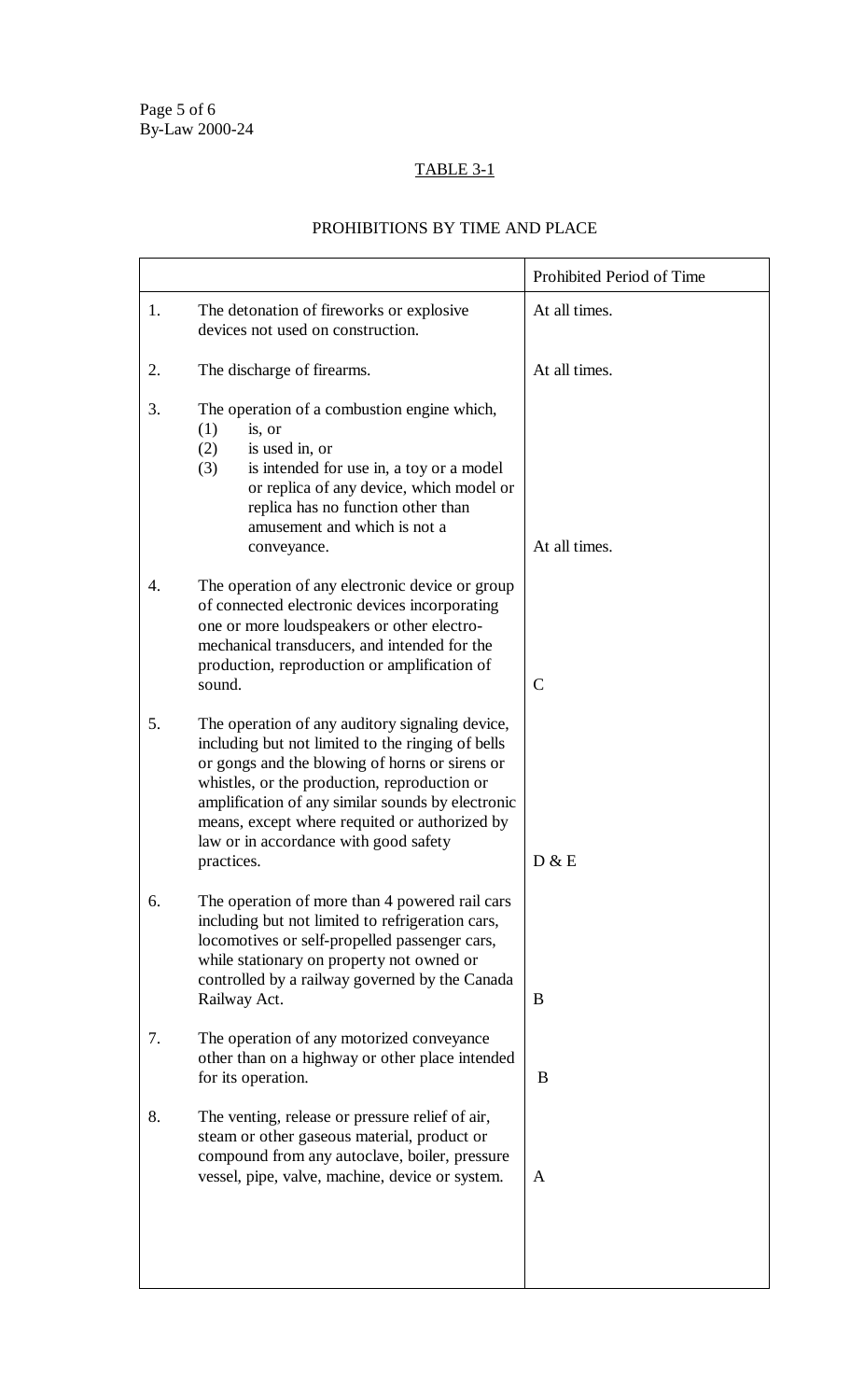# TABLE 3-1

## PROHIBITIONS BY TIME AND PLACE

|    |                                                                                                                                                                                                                                                                                                                                                                     | Prohibited Period of Time |
|----|---------------------------------------------------------------------------------------------------------------------------------------------------------------------------------------------------------------------------------------------------------------------------------------------------------------------------------------------------------------------|---------------------------|
| 1. | The detonation of fireworks or explosive<br>devices not used on construction.                                                                                                                                                                                                                                                                                       | At all times.             |
| 2. | The discharge of firearms.                                                                                                                                                                                                                                                                                                                                          | At all times.             |
| 3. | The operation of a combustion engine which,<br>(1)<br>is, or<br>is used in, or<br>(2)<br>(3)<br>is intended for use in, a toy or a model<br>or replica of any device, which model or<br>replica has no function other than<br>amusement and which is not a<br>conveyance.                                                                                           | At all times.             |
| 4. | The operation of any electronic device or group<br>of connected electronic devices incorporating<br>one or more loudspeakers or other electro-<br>mechanical transducers, and intended for the<br>production, reproduction or amplification of<br>sound.                                                                                                            | $\mathcal{C}$             |
| 5. | The operation of any auditory signaling device,<br>including but not limited to the ringing of bells<br>or gongs and the blowing of horns or sirens or<br>whistles, or the production, reproduction or<br>amplification of any similar sounds by electronic<br>means, except where requited or authorized by<br>law or in accordance with good safety<br>practices. | D & E                     |
| 6. | The operation of more than 4 powered rail cars<br>including but not limited to refrigeration cars,<br>locomotives or self-propelled passenger cars,<br>while stationary on property not owned or<br>controlled by a railway governed by the Canada<br>Railway Act.                                                                                                  | B                         |
| 7. | The operation of any motorized conveyance<br>other than on a highway or other place intended<br>for its operation.                                                                                                                                                                                                                                                  | B                         |
| 8. | The venting, release or pressure relief of air,<br>steam or other gaseous material, product or<br>compound from any autoclave, boiler, pressure<br>vessel, pipe, valve, machine, device or system.                                                                                                                                                                  | A                         |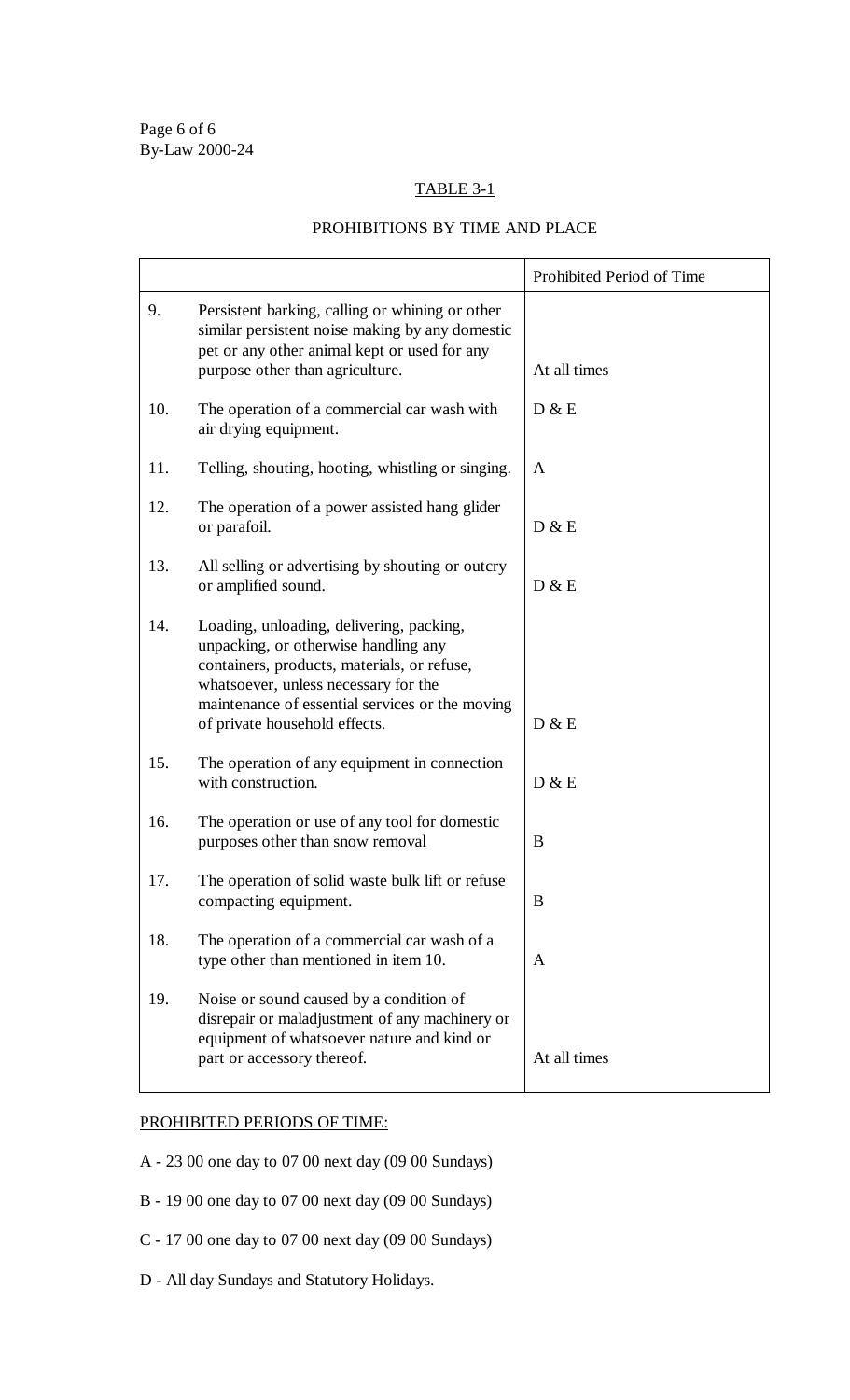### TABLE 3-1

### PROHIBITIONS BY TIME AND PLACE

|     |                                                                                                                                                                                                                                                             | Prohibited Period of Time |
|-----|-------------------------------------------------------------------------------------------------------------------------------------------------------------------------------------------------------------------------------------------------------------|---------------------------|
| 9.  | Persistent barking, calling or whining or other<br>similar persistent noise making by any domestic<br>pet or any other animal kept or used for any<br>purpose other than agriculture.                                                                       | At all times              |
| 10. | The operation of a commercial car wash with<br>air drying equipment.                                                                                                                                                                                        | D & E                     |
| 11. | Telling, shouting, hooting, whistling or singing.                                                                                                                                                                                                           | A                         |
| 12. | The operation of a power assisted hang glider<br>or parafoil.                                                                                                                                                                                               | D & E                     |
| 13. | All selling or advertising by shouting or outcry<br>or amplified sound.                                                                                                                                                                                     | D & E                     |
| 14. | Loading, unloading, delivering, packing,<br>unpacking, or otherwise handling any<br>containers, products, materials, or refuse,<br>whatsoever, unless necessary for the<br>maintenance of essential services or the moving<br>of private household effects. | D & E                     |
| 15. | The operation of any equipment in connection<br>with construction.                                                                                                                                                                                          | D & E                     |
| 16. | The operation or use of any tool for domestic<br>purposes other than snow removal                                                                                                                                                                           | B                         |
| 17. | The operation of solid waste bulk lift or refuse<br>compacting equipment.                                                                                                                                                                                   | B                         |
| 18. | The operation of a commercial car wash of a<br>type other than mentioned in item 10.                                                                                                                                                                        | A                         |
| 19. | Noise or sound caused by a condition of<br>disrepair or maladjustment of any machinery or<br>equipment of whatsoever nature and kind or<br>part or accessory thereof.                                                                                       | At all times              |

### PROHIBITED PERIODS OF TIME:

- A 23 00 one day to 07 00 next day (09 00 Sundays)
- B 19 00 one day to 07 00 next day (09 00 Sundays)
- C 17 00 one day to 07 00 next day (09 00 Sundays)
- D All day Sundays and Statutory Holidays.